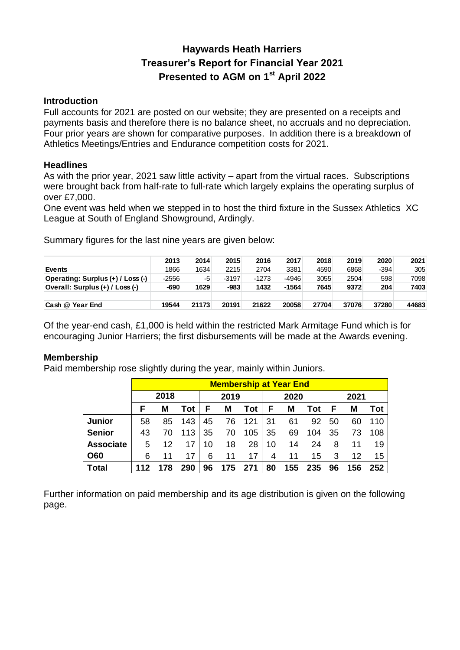## **Haywards Heath Harriers Treasurer's Report for Financial Year 2021 Presented to AGM on 1 st April 2022**

### **Introduction**

Full accounts for 2021 are posted on our website; they are presented on a receipts and payments basis and therefore there is no balance sheet, no accruals and no depreciation. Four prior years are shown for comparative purposes. In addition there is a breakdown of Athletics Meetings/Entries and Endurance competition costs for 2021.

### **Headlines**

As with the prior year, 2021 saw little activity – apart from the virtual races. Subscriptions were brought back from half-rate to full-rate which largely explains the operating surplus of over £7,000.

One event was held when we stepped in to host the third fixture in the Sussex Athletics XC League at South of England Showground, Ardingly.

Summary figures for the last nine years are given below:

|                                   | 2013    | 2014  | 2015   | 2016    | 2017    | 2018  | 2019  | 2020   | 2021  |
|-----------------------------------|---------|-------|--------|---------|---------|-------|-------|--------|-------|
| <b>Events</b>                     | 1866    | 1634  | 2215   | 2704    | 3381    | 4590  | 6868  | $-394$ | 305   |
| Operating: Surplus (+) / Loss (-) | $-2556$ | -5    | -3197  | $-1273$ | -4946   | 3055  | 2504  | 598    | 7098  |
| Overall: Surplus (+) / Loss (-)   | $-690$  | 1629  | $-983$ | 1432    | $-1564$ | 7645  | 9372  | 204    | 7403  |
|                                   |         |       |        |         |         |       |       |        |       |
| Cash @ Year End                   | 19544   | 21173 | 20191  | 21622   | 20058   | 27704 | 37076 | 37280  | 44683 |

Of the year-end cash, £1,000 is held within the restricted Mark Armitage Fund which is for encouraging Junior Harriers; the first disbursements will be made at the Awards evening.

### **Membership**

Paid membership rose slightly during the year, mainly within Juniors.

|                  | <b>Membership at Year End</b> |    |     |      |     |     |      |     |     |      |     |     |
|------------------|-------------------------------|----|-----|------|-----|-----|------|-----|-----|------|-----|-----|
|                  | 2018                          |    |     | 2019 |     |     | 2020 |     |     | 2021 |     |     |
|                  | F                             | м  | Tot | F    | M   | Tot | F    | M   | Tot | F    | M   | Tot |
| <b>Junior</b>    | 58                            | 85 | 143 | 45   | 76  | 121 | 31   | 61  | 92  | 50   | 60  | 110 |
| <b>Senior</b>    | 43                            | 70 | 113 | 35   | 70  | 105 | 35   | 69  | 104 | 35   | 73  | 108 |
| <b>Associate</b> | 5                             | 12 | 17  | 10   | 18  | 28  | 10   | 14  | 24  | 8    | 11  | 19  |
| <b>O60</b>       | 6                             | 11 | 17  | 6    | 11  | 17  | 4    | 11  | 15  | 3    | 12  | 15  |
| <b>Total</b>     |                               | 78 | 290 | 96   | 175 | 271 | 80   | 155 | 235 | 96   | 156 | 252 |

Further information on paid membership and its age distribution is given on the following page.